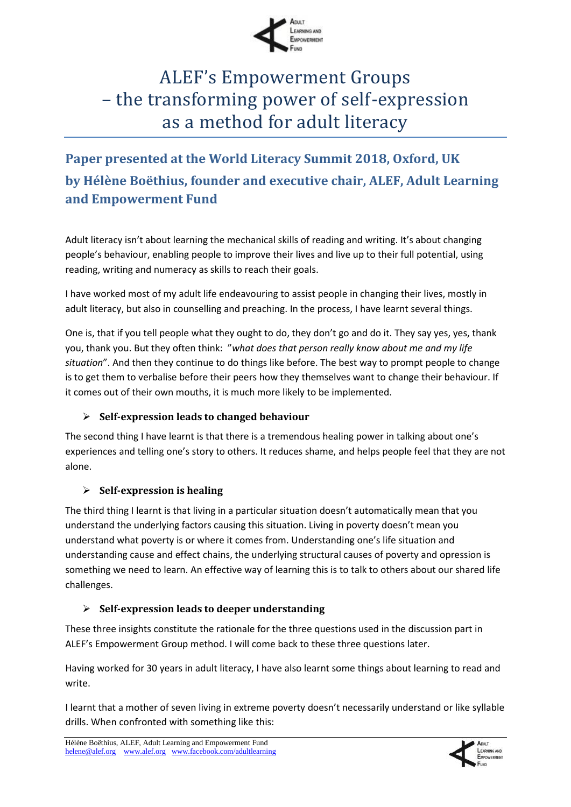

# ALEF's Empowerment Groups – the transforming power of self-expression as a method for adult literacy

# **Paper presented at the World Literacy Summit 2018, Oxford, UK by Hélène Boëthius, founder and executive chair, ALEF, Adult Learning and Empowerment Fund**

Adult literacy isn't about learning the mechanical skills of reading and writing. It's about changing people's behaviour, enabling people to improve their lives and live up to their full potential, using reading, writing and numeracy as skills to reach their goals.

I have worked most of my adult life endeavouring to assist people in changing their lives, mostly in adult literacy, but also in counselling and preaching. In the process, I have learnt several things.

One is, that if you tell people what they ought to do, they don't go and do it. They say yes, yes, thank you, thank you. But they often think: "*what does that person really know about me and my life situation*". And then they continue to do things like before. The best way to prompt people to change is to get them to verbalise before their peers how they themselves want to change their behaviour. If it comes out of their own mouths, it is much more likely to be implemented.

# **Self-expression leads to changed behaviour**

The second thing I have learnt is that there is a tremendous healing power in talking about one's experiences and telling one's story to others. It reduces shame, and helps people feel that they are not alone.

# **Self-expression is healing**

The third thing I learnt is that living in a particular situation doesn't automatically mean that you understand the underlying factors causing this situation. Living in poverty doesn't mean you understand what poverty is or where it comes from. Understanding one's life situation and understanding cause and effect chains, the underlying structural causes of poverty and opression is something we need to learn. An effective way of learning this is to talk to others about our shared life challenges.

# **Self-expression leads to deeper understanding**

These three insights constitute the rationale for the three questions used in the discussion part in ALEF's Empowerment Group method. I will come back to these three questions later.

Having worked for 30 years in adult literacy, I have also learnt some things about learning to read and write.

I learnt that a mother of seven living in extreme poverty doesn't necessarily understand or like syllable drills. When confronted with something like this:

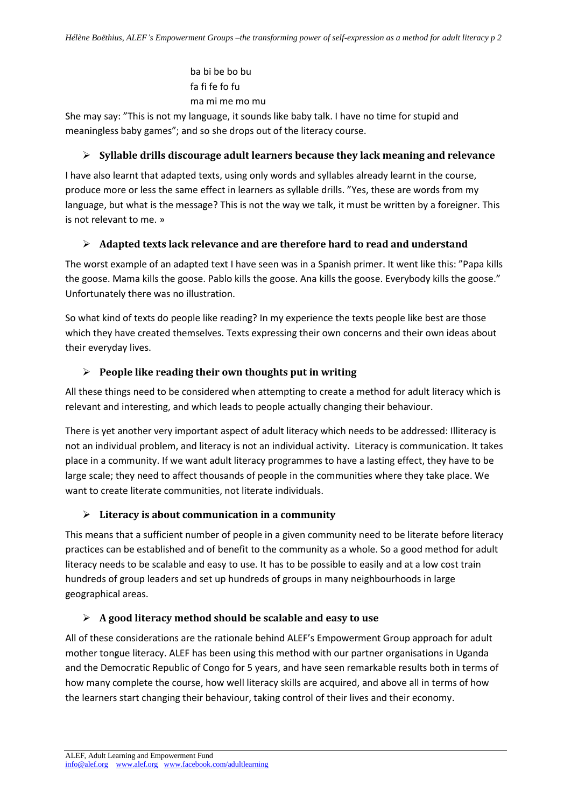ba bi be bo bu fa fi fe fo fu ma mi me mo mu

She may say: "This is not my language, it sounds like baby talk. I have no time for stupid and meaningless baby games"; and so she drops out of the literacy course.

#### **Syllable drills discourage adult learners because they lack meaning and relevance**

I have also learnt that adapted texts, using only words and syllables already learnt in the course, produce more or less the same effect in learners as syllable drills. "Yes, these are words from my language, but what is the message? This is not the way we talk, it must be written by a foreigner. This is not relevant to me. »

# **Adapted texts lack relevance and are therefore hard to read and understand**

The worst example of an adapted text I have seen was in a Spanish primer. It went like this: "Papa kills the goose. Mama kills the goose. Pablo kills the goose. Ana kills the goose. Everybody kills the goose." Unfortunately there was no illustration.

So what kind of texts do people like reading? In my experience the texts people like best are those which they have created themselves. Texts expressing their own concerns and their own ideas about their everyday lives.

# **People like reading their own thoughts put in writing**

All these things need to be considered when attempting to create a method for adult literacy which is relevant and interesting, and which leads to people actually changing their behaviour.

There is yet another very important aspect of adult literacy which needs to be addressed: Illiteracy is not an individual problem, and literacy is not an individual activity. Literacy is communication. It takes place in a community. If we want adult literacy programmes to have a lasting effect, they have to be large scale; they need to affect thousands of people in the communities where they take place. We want to create literate communities, not literate individuals.

#### **Literacy is about communication in a community**

This means that a sufficient number of people in a given community need to be literate before literacy practices can be established and of benefit to the community as a whole. So a good method for adult literacy needs to be scalable and easy to use. It has to be possible to easily and at a low cost train hundreds of group leaders and set up hundreds of groups in many neighbourhoods in large geographical areas.

# **A good literacy method should be scalable and easy to use**

All of these considerations are the rationale behind ALEF's Empowerment Group approach for adult mother tongue literacy. ALEF has been using this method with our partner organisations in Uganda and the Democratic Republic of Congo for 5 years, and have seen remarkable results both in terms of how many complete the course, how well literacy skills are acquired, and above all in terms of how the learners start changing their behaviour, taking control of their lives and their economy.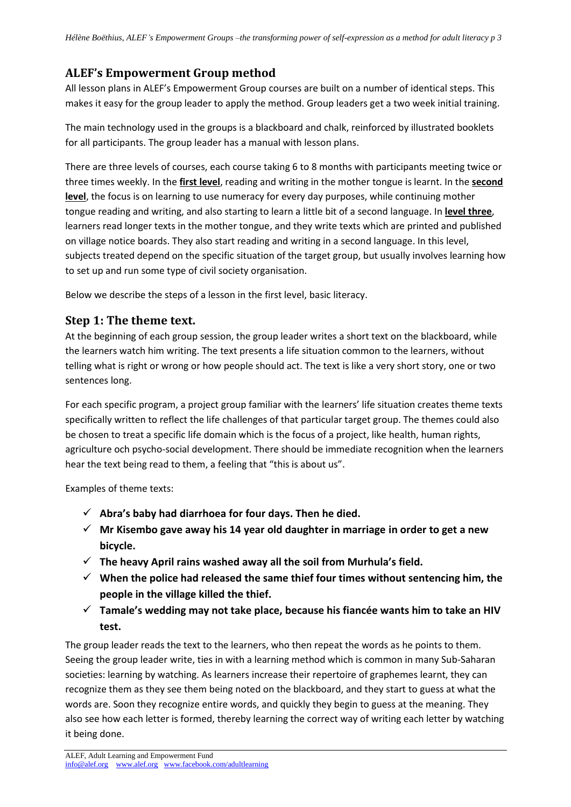# **ALEF's Empowerment Group method**

All lesson plans in ALEF's Empowerment Group courses are built on a number of identical steps. This makes it easy for the group leader to apply the method. Group leaders get a two week initial training.

The main technology used in the groups is a blackboard and chalk, reinforced by illustrated booklets for all participants. The group leader has a manual with lesson plans.

There are three levels of courses, each course taking 6 to 8 months with participants meeting twice or three times weekly. In the **first level**, reading and writing in the mother tongue is learnt. In the **second level**, the focus is on learning to use numeracy for every day purposes, while continuing mother tongue reading and writing, and also starting to learn a little bit of a second language. In **level three**, learners read longer texts in the mother tongue, and they write texts which are printed and published on village notice boards. They also start reading and writing in a second language. In this level, subjects treated depend on the specific situation of the target group, but usually involves learning how to set up and run some type of civil society organisation.

Below we describe the steps of a lesson in the first level, basic literacy.

# **Step 1: The theme text.**

At the beginning of each group session, the group leader writes a short text on the blackboard, while the learners watch him writing. The text presents a life situation common to the learners, without telling what is right or wrong or how people should act. The text is like a very short story, one or two sentences long.

For each specific program, a project group familiar with the learners' life situation creates theme texts specifically written to reflect the life challenges of that particular target group. The themes could also be chosen to treat a specific life domain which is the focus of a project, like health, human rights, agriculture och psycho-social development. There should be immediate recognition when the learners hear the text being read to them, a feeling that "this is about us".

Examples of theme texts:

- **Abra's baby had diarrhoea for four days. Then he died.**
- **Mr Kisembo gave away his 14 year old daughter in marriage in order to get a new bicycle.**
- **The heavy April rains washed away all the soil from Murhula's field.**
- **When the police had released the same thief four times without sentencing him, the people in the village killed the thief.**
- **Tamale's wedding may not take place, because his fiancée wants him to take an HIV test.**

The group leader reads the text to the learners, who then repeat the words as he points to them. Seeing the group leader write, ties in with a learning method which is common in many Sub-Saharan societies: learning by watching. As learners increase their repertoire of graphemes learnt, they can recognize them as they see them being noted on the blackboard, and they start to guess at what the words are. Soon they recognize entire words, and quickly they begin to guess at the meaning. They also see how each letter is formed, thereby learning the correct way of writing each letter by watching it being done.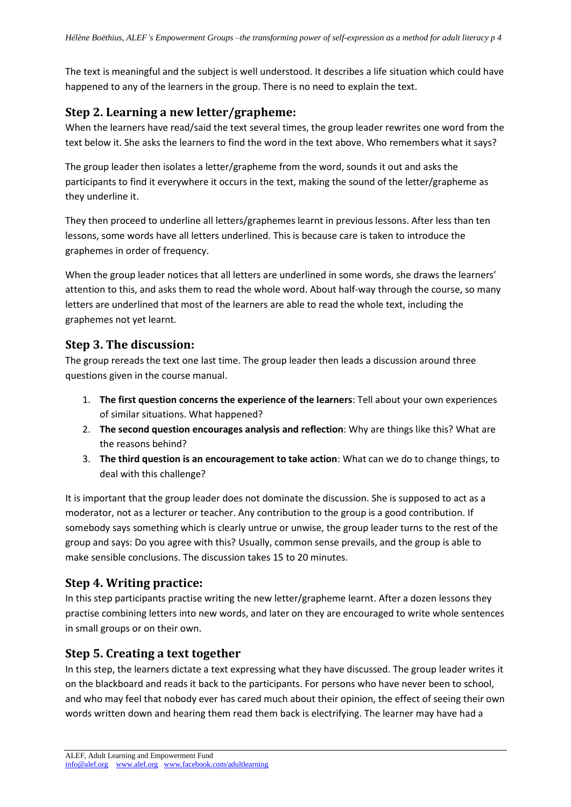The text is meaningful and the subject is well understood. It describes a life situation which could have happened to any of the learners in the group. There is no need to explain the text.

# **Step 2. Learning a new letter/grapheme:**

When the learners have read/said the text several times, the group leader rewrites one word from the text below it. She asks the learners to find the word in the text above. Who remembers what it says?

The group leader then isolates a letter/grapheme from the word, sounds it out and asks the participants to find it everywhere it occurs in the text, making the sound of the letter/grapheme as they underline it.

They then proceed to underline all letters/graphemes learnt in previous lessons. After less than ten lessons, some words have all letters underlined. This is because care is taken to introduce the graphemes in order of frequency.

When the group leader notices that all letters are underlined in some words, she draws the learners' attention to this, and asks them to read the whole word. About half-way through the course, so many letters are underlined that most of the learners are able to read the whole text, including the graphemes not yet learnt.

# **Step 3. The discussion:**

The group rereads the text one last time. The group leader then leads a discussion around three questions given in the course manual.

- 1. **The first question concerns the experience of the learners**: Tell about your own experiences of similar situations. What happened?
- 2. **The second question encourages analysis and reflection**: Why are things like this? What are the reasons behind?
- 3. **The third question is an encouragement to take action**: What can we do to change things, to deal with this challenge?

It is important that the group leader does not dominate the discussion. She is supposed to act as a moderator, not as a lecturer or teacher. Any contribution to the group is a good contribution. If somebody says something which is clearly untrue or unwise, the group leader turns to the rest of the group and says: Do you agree with this? Usually, common sense prevails, and the group is able to make sensible conclusions. The discussion takes 15 to 20 minutes.

# **Step 4. Writing practice:**

In this step participants practise writing the new letter/grapheme learnt. After a dozen lessons they practise combining letters into new words, and later on they are encouraged to write whole sentences in small groups or on their own.

# **Step 5. Creating a text together**

In this step, the learners dictate a text expressing what they have discussed. The group leader writes it on the blackboard and reads it back to the participants. For persons who have never been to school, and who may feel that nobody ever has cared much about their opinion, the effect of seeing their own words written down and hearing them read them back is electrifying. The learner may have had a